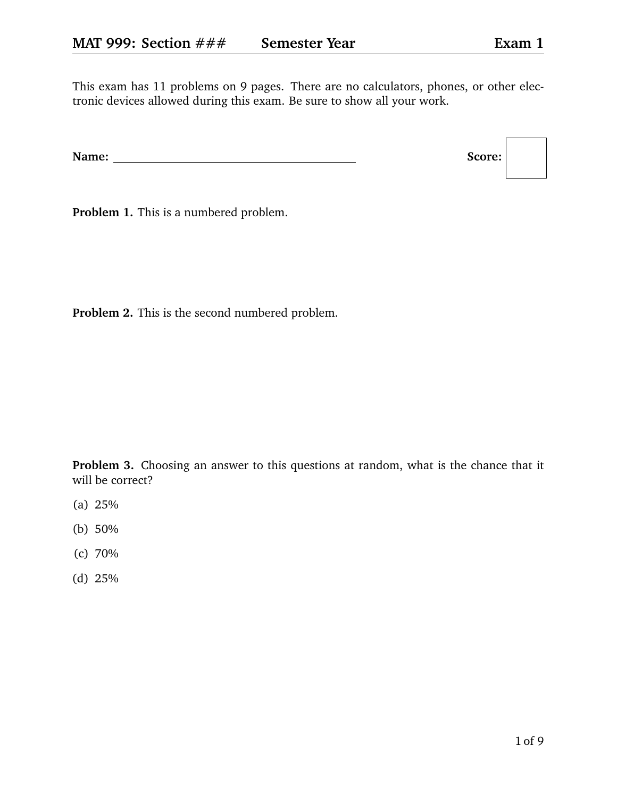This exam has 11 problems on 9 pages. There are no calculators, phones, or other electronic devices allowed during this exam. Be sure to show all your work.

**Problem 1.** This is a numbered problem.

**Problem 2.** This is the second numbered problem.

**Problem 3.** Choosing an answer to this questions at random, what is the chance that it will be correct?

- (a) 25%
- (b) 50%
- (c) 70%
- (d) 25%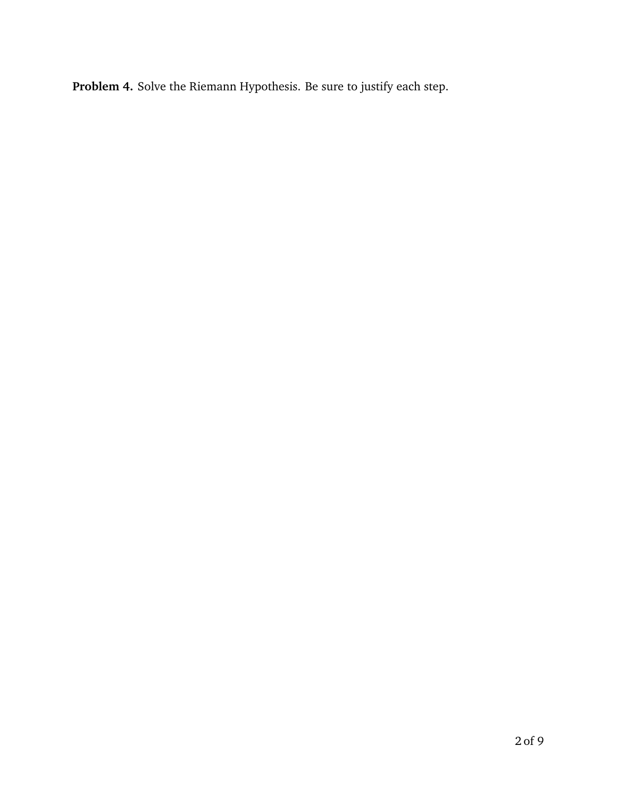**Problem 4.** Solve the Riemann Hypothesis. Be sure to justify each step.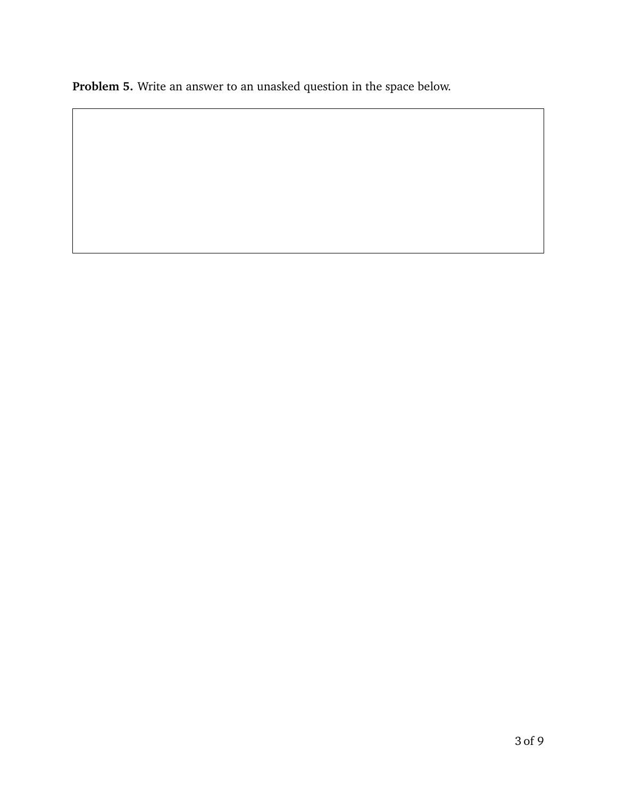**Problem 5.** Write an answer to an unasked question in the space below.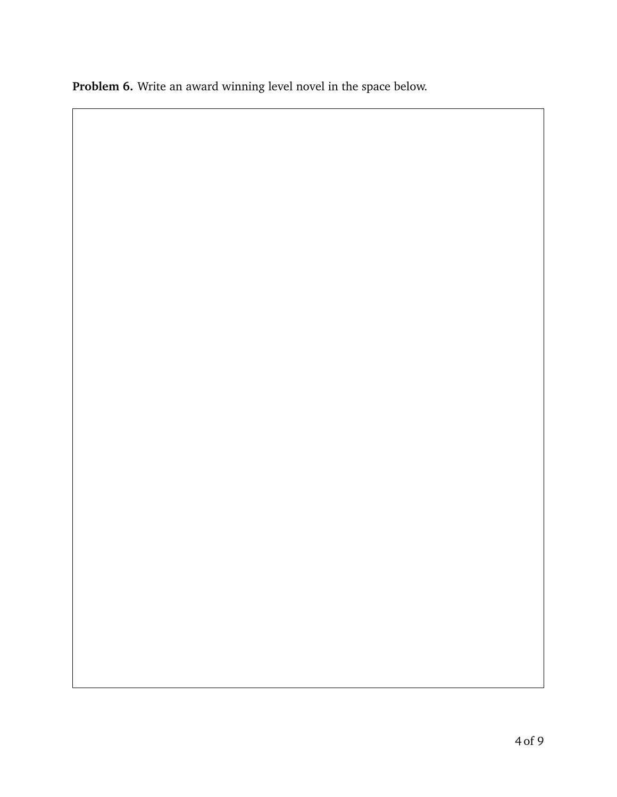**Problem 6.** Write an award winning level novel in the space below.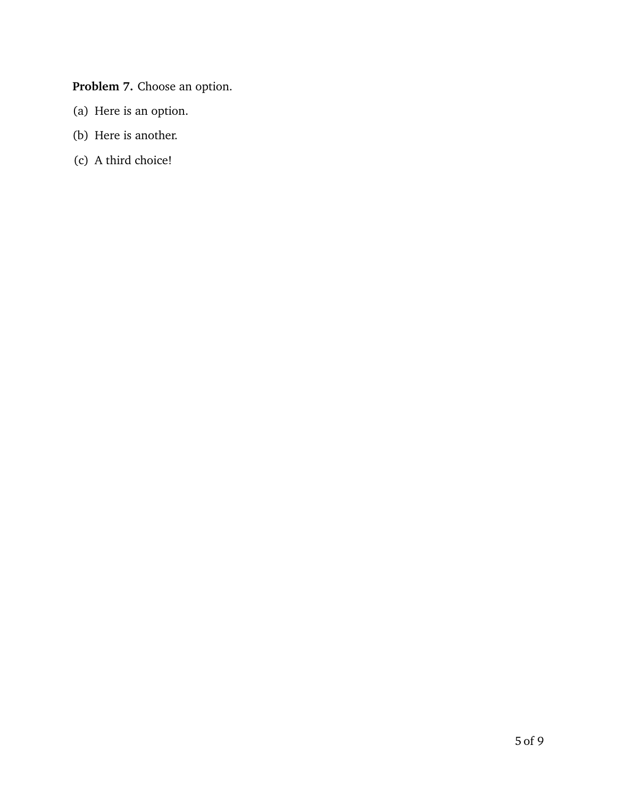**Problem 7.** Choose an option.

- (a) Here is an option.
- (b) Here is another.
- (c) A third choice!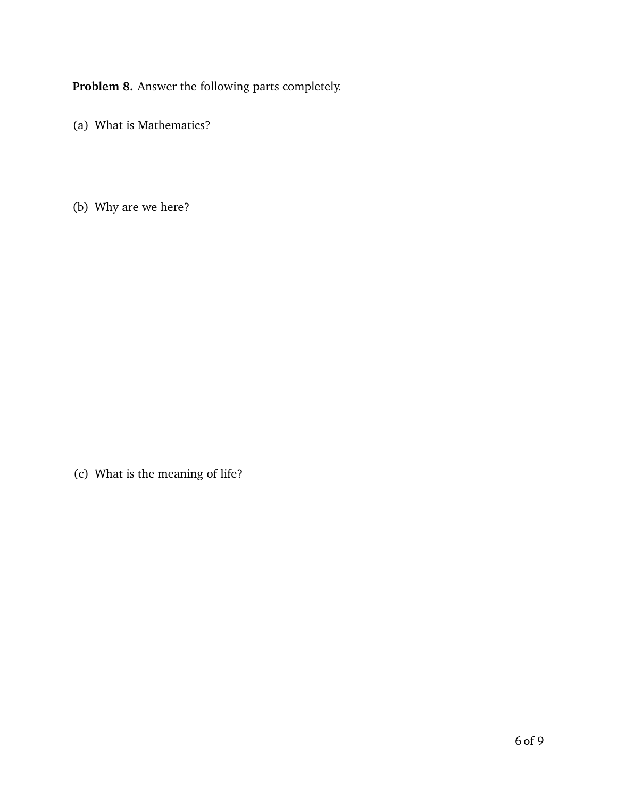**Problem 8.** Answer the following parts completely.

(a) What is Mathematics?

(b) Why are we here?

(c) What is the meaning of life?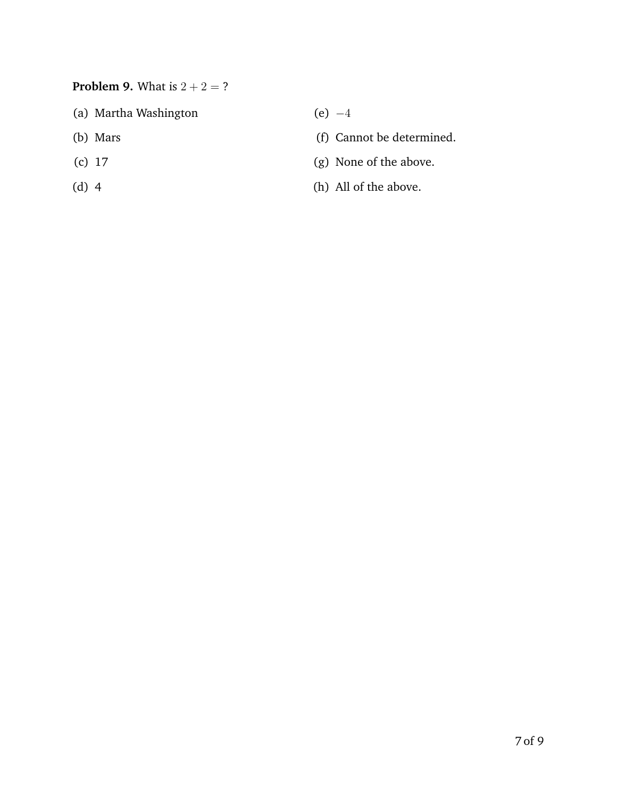## **Problem 9.** What is  $2 + 2 = ?$

- (a) Martha Washington
- (b) Mars
- (c) 17
- (d) 4

 $(e) -4$ 

- (f) Cannot be determined.
- (g) None of the above.
- (h) All of the above.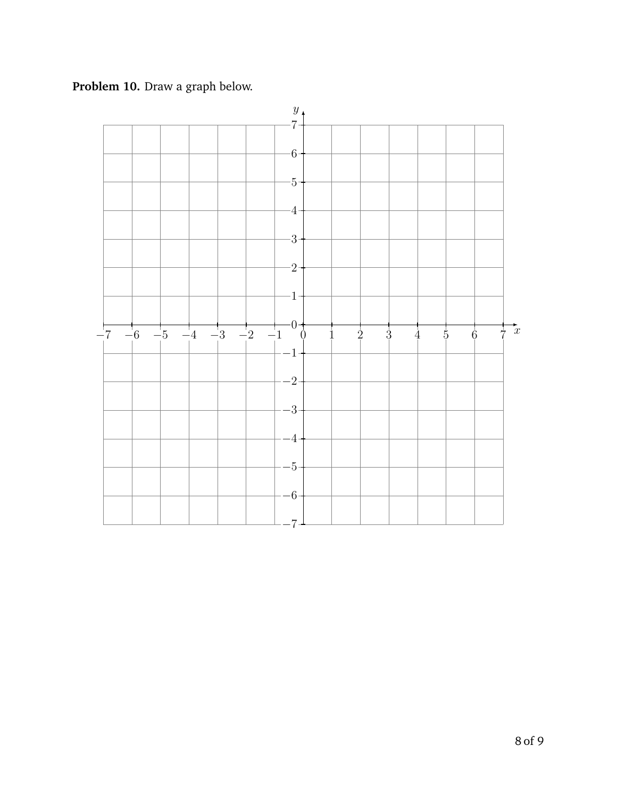**Problem 10.** Draw a graph below.